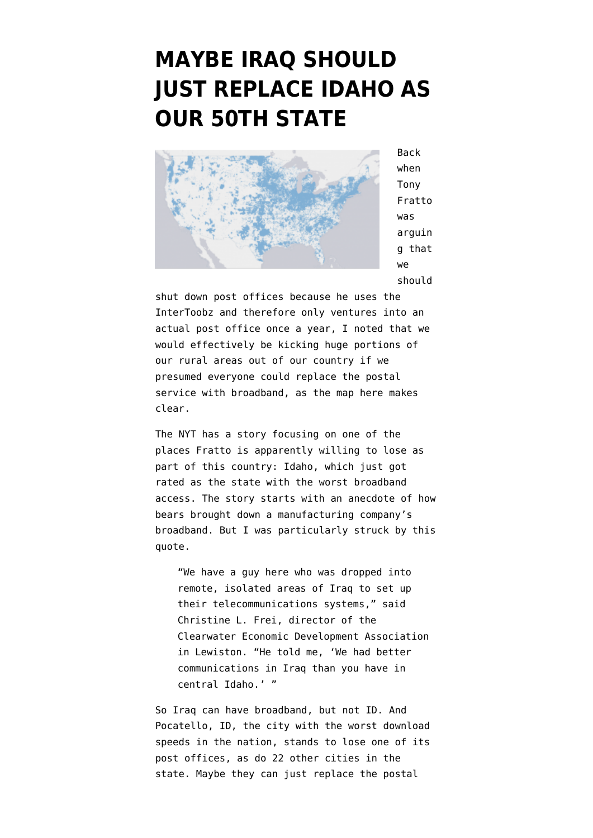## **[MAYBE IRAQ SHOULD](https://www.emptywheel.net/2011/09/15/maybe-iraq-should-just-replace-idaho-as-our-50th-state/) [JUST REPLACE IDAHO AS](https://www.emptywheel.net/2011/09/15/maybe-iraq-should-just-replace-idaho-as-our-50th-state/) [OUR 50TH STATE](https://www.emptywheel.net/2011/09/15/maybe-iraq-should-just-replace-idaho-as-our-50th-state/)**



Back when Tony Fratto was arguin g that we should

shut down post offices because he uses the InterToobz and therefore only ventures into an actual post office once a year, [I noted](http://www.emptywheel.net/2011/08/20/tony-frattos-post-office-field-trip/) that we would effectively be kicking huge portions of our rural areas out of our country if we presumed everyone could replace the postal service with broadband, as [the map here](http://www.broadbandmap.gov/technology) makes clear.

The NYT [has a story](https://www.nytimes.com/2011/09/14/us/downloads-are-slowest-in-idaho-study-finds.html) focusing on one of the places Fratto is apparently willing to lose as part of this country: Idaho, which just got rated as the state with the worst broadband access. The story starts with an anecdote of how bears brought down a manufacturing company's broadband. But I was particularly struck by this quote.

"We have a guy here who was dropped into remote, isolated areas of Iraq to set up their telecommunications systems," said Christine L. Frei, director of the Clearwater Economic Development Association in Lewiston. "He told me, 'We had better communications in Iraq than you have in central Idaho.' "

So Iraq can have broadband, but not ID. And Pocatello, ID, the city with the worst download speeds in the nation, [stands to lose one of its](http://about.usps.com/news/electronic-press-kits/expandedaccess/states/idaho.htm) [post offices](http://about.usps.com/news/electronic-press-kits/expandedaccess/states/idaho.htm), as do 22 other cities in the state. Maybe they can just replace the postal